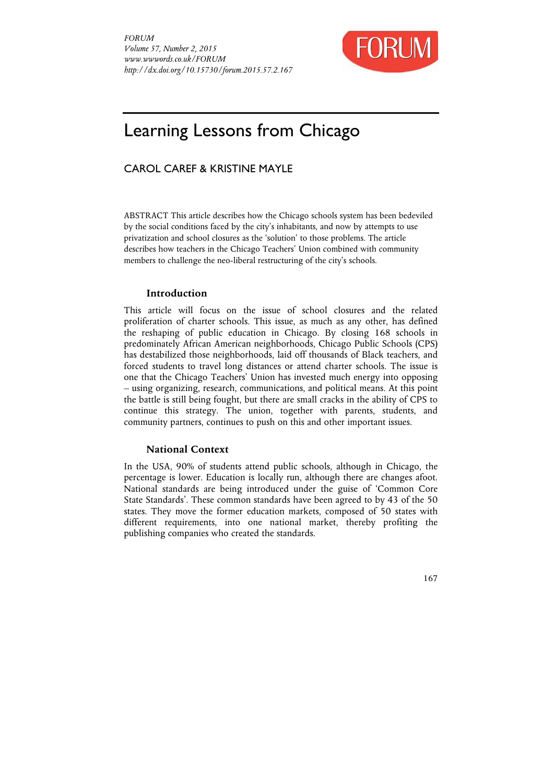

# Learning Lessons from Chicago

# CAROL CAREF & KRISTINE MAYLE

ABSTRACT This article describes how the Chicago schools system has been bedeviled by the social conditions faced by the city's inhabitants, and now by attempts to use privatization and school closures as the 'solution' to those problems. The article describes how teachers in the Chicago Teachers' Union combined with community members to challenge the neo-liberal restructuring of the city's schools.

## **Introduction**

This article will focus on the issue of school closures and the related proliferation of charter schools. This issue, as much as any other, has defined the reshaping of public education in Chicago. By closing 168 schools in predominately African American neighborhoods, Chicago Public Schools (CPS) has destabilized those neighborhoods, laid off thousands of Black teachers, and forced students to travel long distances or attend charter schools. The issue is one that the Chicago Teachers' Union has invested much energy into opposing – using organizing, research, communications, and political means. At this point the battle is still being fought, but there are small cracks in the ability of CPS to continue this strategy. The union, together with parents, students, and community partners, continues to push on this and other important issues.

# **National Context**

In the USA, 90% of students attend public schools, although in Chicago, the percentage is lower. Education is locally run, although there are changes afoot. National standards are being introduced under the guise of 'Common Core State Standards'. These common standards have been agreed to by 43 of the 50 states. They move the former education markets, composed of 50 states with different requirements, into one national market, thereby profiting the publishing companies who created the standards.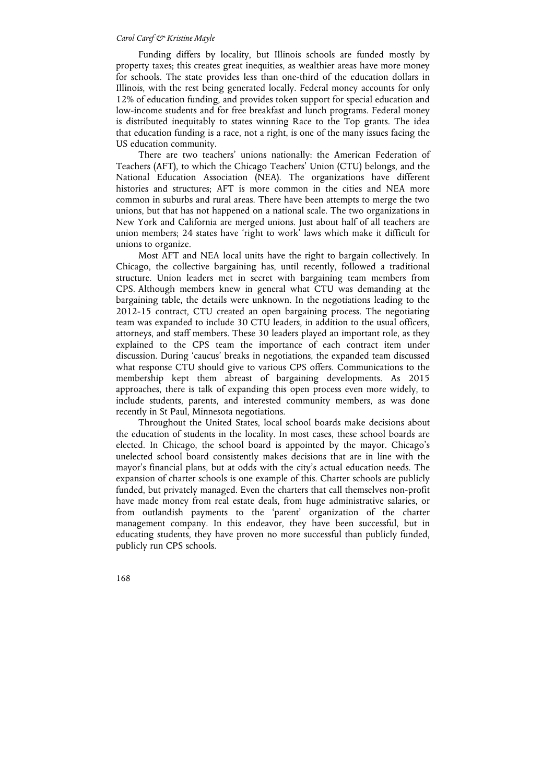Funding differs by locality, but Illinois schools are funded mostly by property taxes; this creates great inequities, as wealthier areas have more money for schools. The state provides less than one-third of the education dollars in Illinois, with the rest being generated locally. Federal money accounts for only 12% of education funding, and provides token support for special education and low-income students and for free breakfast and lunch programs. Federal money is distributed inequitably to states winning Race to the Top grants. The idea that education funding is a race, not a right, is one of the many issues facing the US education community.

There are two teachers' unions nationally: the American Federation of Teachers (AFT), to which the Chicago Teachers' Union (CTU) belongs, and the National Education Association (NEA). The organizations have different histories and structures; AFT is more common in the cities and NEA more common in suburbs and rural areas. There have been attempts to merge the two unions, but that has not happened on a national scale. The two organizations in New York and California are merged unions. Just about half of all teachers are union members; 24 states have 'right to work' laws which make it difficult for unions to organize.

Most AFT and NEA local units have the right to bargain collectively. In Chicago, the collective bargaining has, until recently, followed a traditional structure. Union leaders met in secret with bargaining team members from CPS. Although members knew in general what CTU was demanding at the bargaining table, the details were unknown. In the negotiations leading to the 2012-15 contract, CTU created an open bargaining process. The negotiating team was expanded to include 30 CTU leaders, in addition to the usual officers, attorneys, and staff members. These 30 leaders played an important role, as they explained to the CPS team the importance of each contract item under discussion. During 'caucus' breaks in negotiations, the expanded team discussed what response CTU should give to various CPS offers. Communications to the membership kept them abreast of bargaining developments. As 2015 approaches, there is talk of expanding this open process even more widely, to include students, parents, and interested community members, as was done recently in St Paul, Minnesota negotiations.

Throughout the United States, local school boards make decisions about the education of students in the locality. In most cases, these school boards are elected. In Chicago, the school board is appointed by the mayor. Chicago's unelected school board consistently makes decisions that are in line with the mayor's financial plans, but at odds with the city's actual education needs. The expansion of charter schools is one example of this. Charter schools are publicly funded, but privately managed. Even the charters that call themselves non-profit have made money from real estate deals, from huge administrative salaries, or from outlandish payments to the 'parent' organization of the charter management company. In this endeavor, they have been successful, but in educating students, they have proven no more successful than publicly funded, publicly run CPS schools.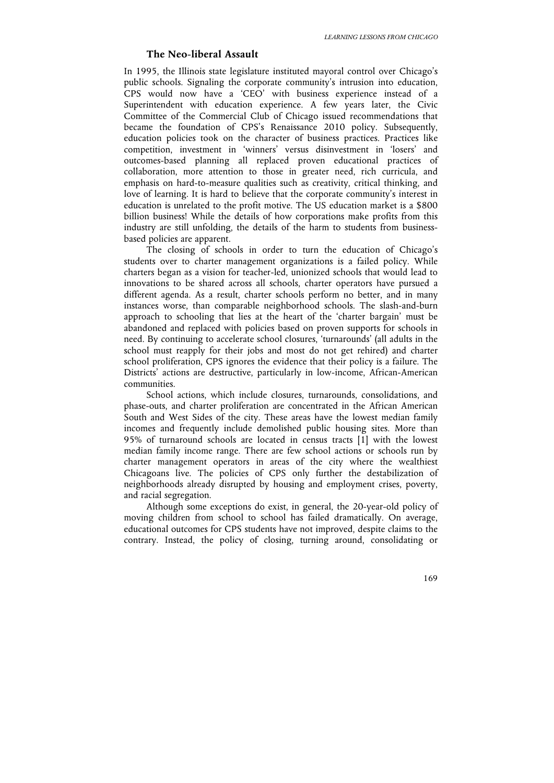## **The Neo-liberal Assault**

In 1995, the Illinois state legislature instituted mayoral control over Chicago's public schools. Signaling the corporate community's intrusion into education, CPS would now have a 'CEO' with business experience instead of a Superintendent with education experience. A few years later, the Civic Committee of the Commercial Club of Chicago issued recommendations that became the foundation of CPS's Renaissance 2010 policy. Subsequently, education policies took on the character of business practices. Practices like competition, investment in 'winners' versus disinvestment in 'losers' and outcomes-based planning all replaced proven educational practices of collaboration, more attention to those in greater need, rich curricula, and emphasis on hard-to-measure qualities such as creativity, critical thinking, and love of learning. It is hard to believe that the corporate community's interest in education is unrelated to the profit motive. The US education market is a \$800 billion business! While the details of how corporations make profits from this industry are still unfolding, the details of the harm to students from businessbased policies are apparent.

The closing of schools in order to turn the education of Chicago's students over to charter management organizations is a failed policy. While charters began as a vision for teacher-led, unionized schools that would lead to innovations to be shared across all schools, charter operators have pursued a different agenda. As a result, charter schools perform no better, and in many instances worse, than comparable neighborhood schools. The slash-and-burn approach to schooling that lies at the heart of the 'charter bargain' must be abandoned and replaced with policies based on proven supports for schools in need. By continuing to accelerate school closures, 'turnarounds' (all adults in the school must reapply for their jobs and most do not get rehired) and charter school proliferation, CPS ignores the evidence that their policy is a failure. The Districts' actions are destructive, particularly in low-income, African-American communities.

School actions, which include closures, turnarounds, consolidations, and phase-outs, and charter proliferation are concentrated in the African American South and West Sides of the city. These areas have the lowest median family incomes and frequently include demolished public housing sites. More than 95% of turnaround schools are located in census tracts [1] with the lowest median family income range. There are few school actions or schools run by charter management operators in areas of the city where the wealthiest Chicagoans live. The policies of CPS only further the destabilization of neighborhoods already disrupted by housing and employment crises, poverty, and racial segregation.

Although some exceptions do exist, in general, the 20-year-old policy of moving children from school to school has failed dramatically. On average, educational outcomes for CPS students have not improved, despite claims to the contrary. Instead, the policy of closing, turning around, consolidating or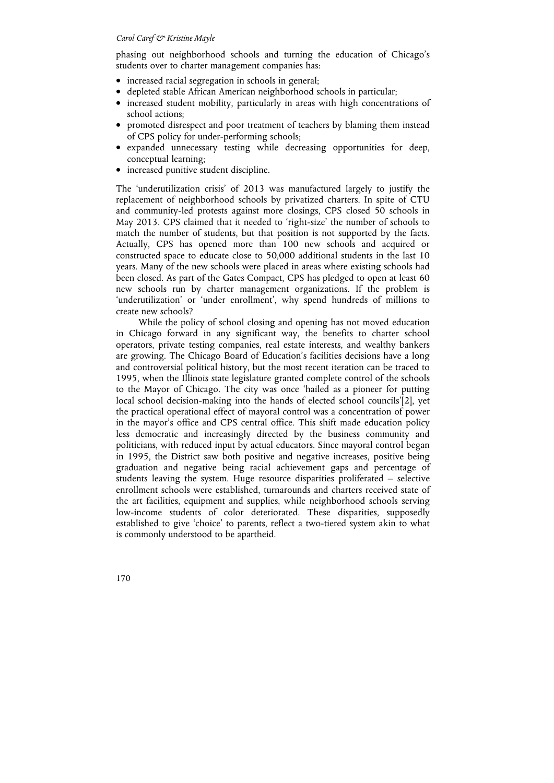phasing out neighborhood schools and turning the education of Chicago's students over to charter management companies has:

- increased racial segregation in schools in general;
- depleted stable African American neighborhood schools in particular;
- increased student mobility, particularly in areas with high concentrations of school actions;
- promoted disrespect and poor treatment of teachers by blaming them instead of CPS policy for under-performing schools;
- expanded unnecessary testing while decreasing opportunities for deep, conceptual learning;
- increased punitive student discipline.

The 'underutilization crisis' of 2013 was manufactured largely to justify the replacement of neighborhood schools by privatized charters. In spite of CTU and community-led protests against more closings, CPS closed 50 schools in May 2013. CPS claimed that it needed to 'right-size' the number of schools to match the number of students, but that position is not supported by the facts. Actually, CPS has opened more than 100 new schools and acquired or constructed space to educate close to 50,000 additional students in the last 10 years. Many of the new schools were placed in areas where existing schools had been closed. As part of the Gates Compact, CPS has pledged to open at least 60 new schools run by charter management organizations. If the problem is 'underutilization' or 'under enrollment', why spend hundreds of millions to create new schools?

While the policy of school closing and opening has not moved education in Chicago forward in any significant way, the benefits to charter school operators, private testing companies, real estate interests, and wealthy bankers are growing. The Chicago Board of Education's facilities decisions have a long and controversial political history, but the most recent iteration can be traced to 1995, when the Illinois state legislature granted complete control of the schools to the Mayor of Chicago. The city was once 'hailed as a pioneer for putting local school decision-making into the hands of elected school councils'[2], yet the practical operational effect of mayoral control was a concentration of power in the mayor's office and CPS central office. This shift made education policy less democratic and increasingly directed by the business community and politicians, with reduced input by actual educators. Since mayoral control began in 1995, the District saw both positive and negative increases, positive being graduation and negative being racial achievement gaps and percentage of students leaving the system. Huge resource disparities proliferated – selective enrollment schools were established, turnarounds and charters received state of the art facilities, equipment and supplies, while neighborhood schools serving low-income students of color deteriorated. These disparities, supposedly established to give 'choice' to parents, reflect a two-tiered system akin to what is commonly understood to be apartheid.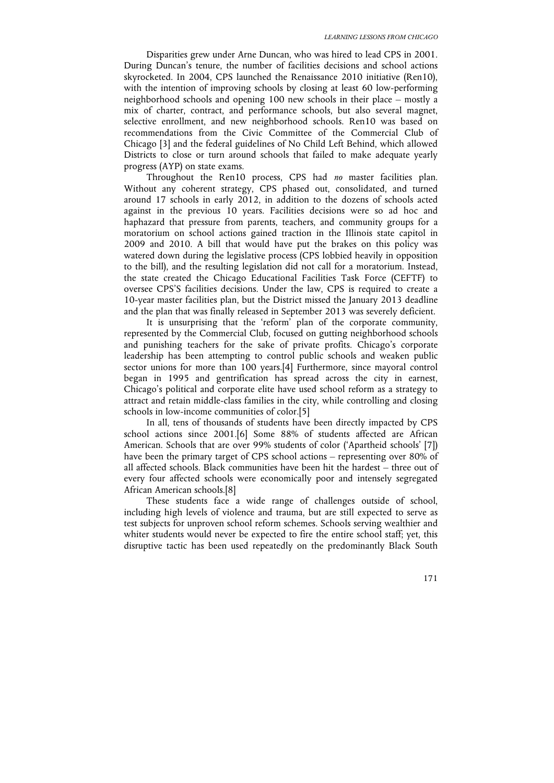Disparities grew under Arne Duncan, who was hired to lead CPS in 2001. During Duncan's tenure, the number of facilities decisions and school actions skyrocketed. In 2004, CPS launched the Renaissance 2010 initiative (Ren10), with the intention of improving schools by closing at least 60 low-performing neighborhood schools and opening 100 new schools in their place – mostly a mix of charter, contract, and performance schools, but also several magnet, selective enrollment, and new neighborhood schools. Ren10 was based on recommendations from the Civic Committee of the Commercial Club of Chicago [3] and the federal guidelines of No Child Left Behind, which allowed Districts to close or turn around schools that failed to make adequate yearly progress (AYP) on state exams.

Throughout the Ren10 process, CPS had *no* master facilities plan. Without any coherent strategy, CPS phased out, consolidated, and turned around 17 schools in early 2012, in addition to the dozens of schools acted against in the previous 10 years. Facilities decisions were so ad hoc and haphazard that pressure from parents, teachers, and community groups for a moratorium on school actions gained traction in the Illinois state capitol in 2009 and 2010. A bill that would have put the brakes on this policy was watered down during the legislative process (CPS lobbied heavily in opposition to the bill), and the resulting legislation did not call for a moratorium. Instead, the state created the Chicago Educational Facilities Task Force (CEFTF) to oversee CPS'S facilities decisions. Under the law, CPS is required to create a 10-year master facilities plan, but the District missed the January 2013 deadline and the plan that was finally released in September 2013 was severely deficient.

It is unsurprising that the 'reform' plan of the corporate community, represented by the Commercial Club, focused on gutting neighborhood schools and punishing teachers for the sake of private profits. Chicago's corporate leadership has been attempting to control public schools and weaken public sector unions for more than 100 years.[4] Furthermore, since mayoral control began in 1995 and gentrification has spread across the city in earnest, Chicago's political and corporate elite have used school reform as a strategy to attract and retain middle-class families in the city, while controlling and closing schools in low-income communities of color.[5]

In all, tens of thousands of students have been directly impacted by CPS school actions since 2001.[6] Some 88% of students affected are African American. Schools that are over 99% students of color ('Apartheid schools' [7]) have been the primary target of CPS school actions – representing over 80% of all affected schools. Black communities have been hit the hardest – three out of every four affected schools were economically poor and intensely segregated African American schools.[8]

These students face a wide range of challenges outside of school, including high levels of violence and trauma, but are still expected to serve as test subjects for unproven school reform schemes. Schools serving wealthier and whiter students would never be expected to fire the entire school staff; yet, this disruptive tactic has been used repeatedly on the predominantly Black South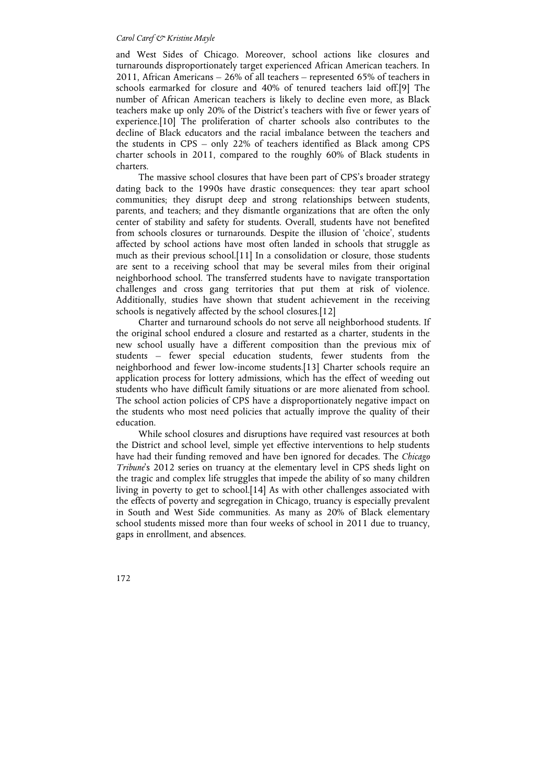and West Sides of Chicago. Moreover, school actions like closures and turnarounds disproportionately target experienced African American teachers. In 2011, African Americans – 26% of all teachers – represented 65% of teachers in schools earmarked for closure and 40% of tenured teachers laid off.[9] The number of African American teachers is likely to decline even more, as Black teachers make up only 20% of the District's teachers with five or fewer years of experience.[10] The proliferation of charter schools also contributes to the decline of Black educators and the racial imbalance between the teachers and the students in CPS – only 22% of teachers identified as Black among CPS charter schools in 2011, compared to the roughly 60% of Black students in charters.

The massive school closures that have been part of CPS's broader strategy dating back to the 1990s have drastic consequences: they tear apart school communities; they disrupt deep and strong relationships between students, parents, and teachers; and they dismantle organizations that are often the only center of stability and safety for students. Overall, students have not benefited from schools closures or turnarounds. Despite the illusion of 'choice', students affected by school actions have most often landed in schools that struggle as much as their previous school.[11] In a consolidation or closure, those students are sent to a receiving school that may be several miles from their original neighborhood school. The transferred students have to navigate transportation challenges and cross gang territories that put them at risk of violence. Additionally, studies have shown that student achievement in the receiving schools is negatively affected by the school closures.[12]

Charter and turnaround schools do not serve all neighborhood students. If the original school endured a closure and restarted as a charter, students in the new school usually have a different composition than the previous mix of students – fewer special education students, fewer students from the neighborhood and fewer low-income students.[13] Charter schools require an application process for lottery admissions, which has the effect of weeding out students who have difficult family situations or are more alienated from school. The school action policies of CPS have a disproportionately negative impact on the students who most need policies that actually improve the quality of their education.

While school closures and disruptions have required vast resources at both the District and school level, simple yet effective interventions to help students have had their funding removed and have ben ignored for decades. The *Chicago Tribune*'s 2012 series on truancy at the elementary level in CPS sheds light on the tragic and complex life struggles that impede the ability of so many children living in poverty to get to school.[14] As with other challenges associated with the effects of poverty and segregation in Chicago, truancy is especially prevalent in South and West Side communities. As many as 20% of Black elementary school students missed more than four weeks of school in 2011 due to truancy, gaps in enrollment, and absences.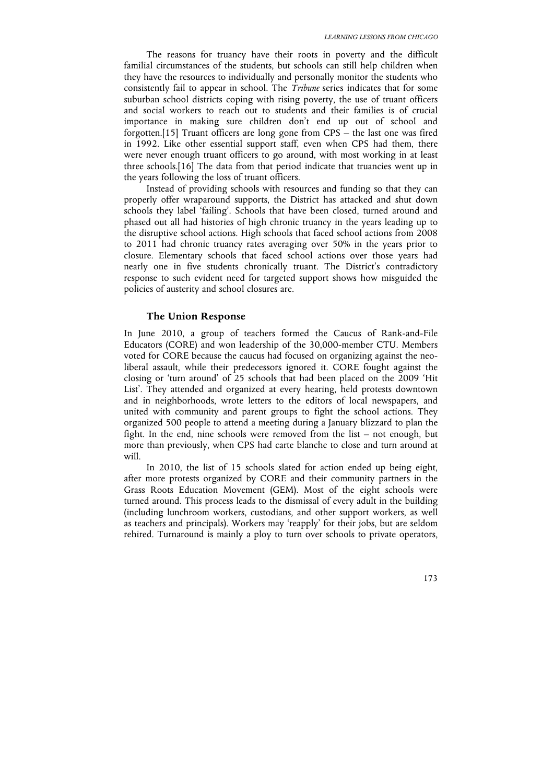The reasons for truancy have their roots in poverty and the difficult familial circumstances of the students, but schools can still help children when they have the resources to individually and personally monitor the students who consistently fail to appear in school. The *Tribune* series indicates that for some suburban school districts coping with rising poverty, the use of truant officers and social workers to reach out to students and their families is of crucial importance in making sure children don't end up out of school and forgotten.[15] Truant officers are long gone from CPS – the last one was fired in 1992. Like other essential support staff, even when CPS had them, there were never enough truant officers to go around, with most working in at least three schools.[16] The data from that period indicate that truancies went up in the years following the loss of truant officers.

Instead of providing schools with resources and funding so that they can properly offer wraparound supports, the District has attacked and shut down schools they label 'failing'. Schools that have been closed, turned around and phased out all had histories of high chronic truancy in the years leading up to the disruptive school actions. High schools that faced school actions from 2008 to 2011 had chronic truancy rates averaging over 50% in the years prior to closure. Elementary schools that faced school actions over those years had nearly one in five students chronically truant. The District's contradictory response to such evident need for targeted support shows how misguided the policies of austerity and school closures are.

#### **The Union Response**

In June 2010, a group of teachers formed the Caucus of Rank-and-File Educators (CORE) and won leadership of the 30,000-member CTU. Members voted for CORE because the caucus had focused on organizing against the neoliberal assault, while their predecessors ignored it. CORE fought against the closing or 'turn around' of 25 schools that had been placed on the 2009 'Hit List'. They attended and organized at every hearing, held protests downtown and in neighborhoods, wrote letters to the editors of local newspapers, and united with community and parent groups to fight the school actions. They organized 500 people to attend a meeting during a January blizzard to plan the fight. In the end, nine schools were removed from the list – not enough, but more than previously, when CPS had carte blanche to close and turn around at will.

In 2010, the list of 15 schools slated for action ended up being eight, after more protests organized by CORE and their community partners in the Grass Roots Education Movement (GEM). Most of the eight schools were turned around. This process leads to the dismissal of every adult in the building (including lunchroom workers, custodians, and other support workers, as well as teachers and principals). Workers may 'reapply' for their jobs, but are seldom rehired. Turnaround is mainly a ploy to turn over schools to private operators,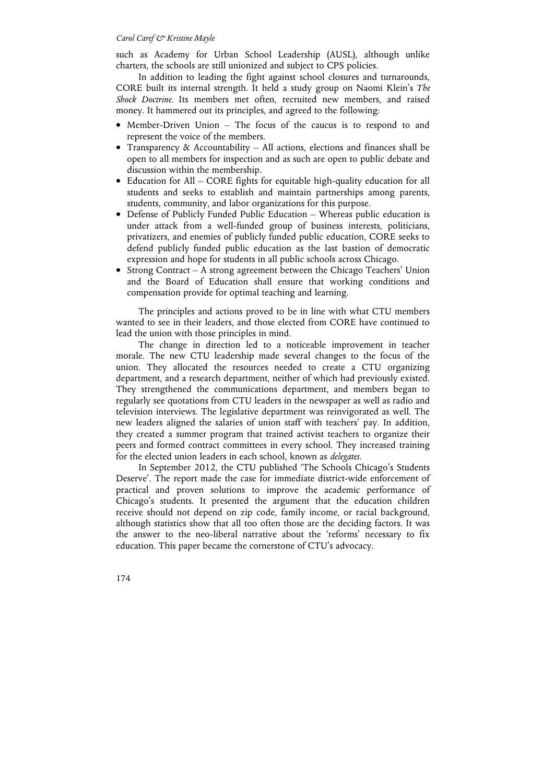such as Academy for Urban School Leadership (AUSL), although unlike charters, the schools are still unionized and subject to CPS policies.

In addition to leading the fight against school closures and turnarounds, CORE built its internal strength. It held a study group on Naomi Klein's *The Shock Doctrine.* Its members met often, recruited new members, and raised money. It hammered out its principles, and agreed to the following:

- Member-Driven Union The focus of the caucus is to respond to and represent the voice of the members.
- Transparency  $\&$  Accountability All actions, elections and finances shall be open to all members for inspection and as such are open to public debate and discussion within the membership.
- Education for All CORE fights for equitable high-quality education for all students and seeks to establish and maintain partnerships among parents, students, community, and labor organizations for this purpose.
- Defense of Publicly Funded Public Education Whereas public education is under attack from a well-funded group of business interests, politicians, privatizers, and enemies of publicly funded public education, CORE seeks to defend publicly funded public education as the last bastion of democratic expression and hope for students in all public schools across Chicago.
- Strong Contract A strong agreement between the Chicago Teachers' Union and the Board of Education shall ensure that working conditions and compensation provide for optimal teaching and learning.

The principles and actions proved to be in line with what CTU members wanted to see in their leaders, and those elected from CORE have continued to lead the union with those principles in mind.

The change in direction led to a noticeable improvement in teacher morale. The new CTU leadership made several changes to the focus of the union. They allocated the resources needed to create a CTU organizing department, and a research department, neither of which had previously existed. They strengthened the communications department, and members began to regularly see quotations from CTU leaders in the newspaper as well as radio and television interviews. The legislative department was reinvigorated as well. The new leaders aligned the salaries of union staff with teachers' pay. In addition, they created a summer program that trained activist teachers to organize their peers and formed contract committees in every school. They increased training for the elected union leaders in each school, known as *delegates*.

In September 2012, the CTU published 'The Schools Chicago's Students Deserve'. The report made the case for immediate district-wide enforcement of practical and proven solutions to improve the academic performance of Chicago's students. It presented the argument that the education children receive should not depend on zip code, family income, or racial background, although statistics show that all too often those are the deciding factors. It was the answer to the neo-liberal narrative about the 'reforms' necessary to fix education. This paper became the cornerstone of CTU's advocacy.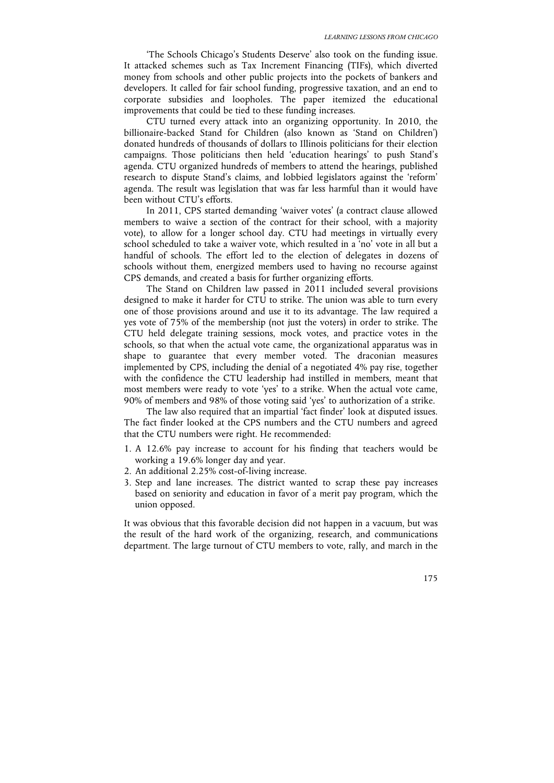'The Schools Chicago's Students Deserve' also took on the funding issue. It attacked schemes such as Tax Increment Financing (TIFs), which diverted money from schools and other public projects into the pockets of bankers and developers. It called for fair school funding, progressive taxation, and an end to corporate subsidies and loopholes. The paper itemized the educational improvements that could be tied to these funding increases.

CTU turned every attack into an organizing opportunity. In 2010, the billionaire-backed Stand for Children (also known as 'Stand on Children') donated hundreds of thousands of dollars to Illinois politicians for their election campaigns. Those politicians then held 'education hearings' to push Stand's agenda. CTU organized hundreds of members to attend the hearings, published research to dispute Stand's claims, and lobbied legislators against the 'reform' agenda. The result was legislation that was far less harmful than it would have been without CTU's efforts.

In 2011, CPS started demanding 'waiver votes' (a contract clause allowed members to waive a section of the contract for their school, with a majority vote), to allow for a longer school day. CTU had meetings in virtually every school scheduled to take a waiver vote, which resulted in a 'no' vote in all but a handful of schools. The effort led to the election of delegates in dozens of schools without them, energized members used to having no recourse against CPS demands, and created a basis for further organizing efforts.

The Stand on Children law passed in 2011 included several provisions designed to make it harder for CTU to strike. The union was able to turn every one of those provisions around and use it to its advantage. The law required a yes vote of 75% of the membership (not just the voters) in order to strike. The CTU held delegate training sessions, mock votes, and practice votes in the schools, so that when the actual vote came, the organizational apparatus was in shape to guarantee that every member voted. The draconian measures implemented by CPS, including the denial of a negotiated 4% pay rise, together with the confidence the CTU leadership had instilled in members, meant that most members were ready to vote 'yes' to a strike. When the actual vote came, 90% of members and 98% of those voting said 'yes' to authorization of a strike.

The law also required that an impartial 'fact finder' look at disputed issues. The fact finder looked at the CPS numbers and the CTU numbers and agreed that the CTU numbers were right. He recommended:

- 1. A 12.6% pay increase to account for his finding that teachers would be working a 19.6% longer day and year.
- 2. An additional 2.25% cost-of-living increase.
- 3. Step and lane increases. The district wanted to scrap these pay increases based on seniority and education in favor of a merit pay program, which the union opposed.

It was obvious that this favorable decision did not happen in a vacuum, but was the result of the hard work of the organizing, research, and communications department. The large turnout of CTU members to vote, rally, and march in the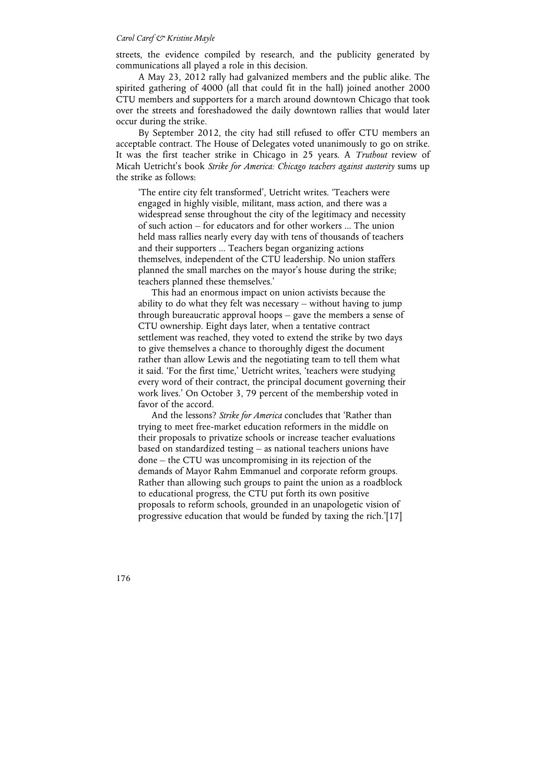streets, the evidence compiled by research, and the publicity generated by communications all played a role in this decision.

A May 23, 2012 rally had galvanized members and the public alike. The spirited gathering of 4000 (all that could fit in the hall) joined another 2000 CTU members and supporters for a march around downtown Chicago that took over the streets and foreshadowed the daily downtown rallies that would later occur during the strike.

By September 2012, the city had still refused to offer CTU members an acceptable contract. The House of Delegates voted unanimously to go on strike. It was the first teacher strike in Chicago in 25 years. A *Truthout* review of Micah Uetricht's book *Strike for America: Chicago teachers against austerity* sums up the strike as follows:

'The entire city felt transformed', Uetricht writes. 'Teachers were engaged in highly visible, militant, mass action, and there was a widespread sense throughout the city of the legitimacy and necessity of such action – for educators and for other workers ... The union held mass rallies nearly every day with tens of thousands of teachers and their supporters ... Teachers began organizing actions themselves, independent of the CTU leadership. No union staffers planned the small marches on the mayor's house during the strike; teachers planned these themselves.'

 This had an enormous impact on union activists because the ability to do what they felt was necessary – without having to jump through bureaucratic approval hoops – gave the members a sense of CTU ownership. Eight days later, when a tentative contract settlement was reached, they voted to extend the strike by two days to give themselves a chance to thoroughly digest the document rather than allow Lewis and the negotiating team to tell them what it said. 'For the first time,' Uetricht writes, 'teachers were studying every word of their contract, the principal document governing their work lives.' On October 3, 79 percent of the membership voted in favor of the accord.

 And the lessons? *Strike for America* concludes that 'Rather than trying to meet free-market education reformers in the middle on their proposals to privatize schools or increase teacher evaluations based on standardized testing – as national teachers unions have done – the CTU was uncompromising in its rejection of the demands of Mayor Rahm Emmanuel and corporate reform groups. Rather than allowing such groups to paint the union as a roadblock to educational progress, the CTU put forth its own positive proposals to reform schools, grounded in an unapologetic vision of progressive education that would be funded by taxing the rich.'[17]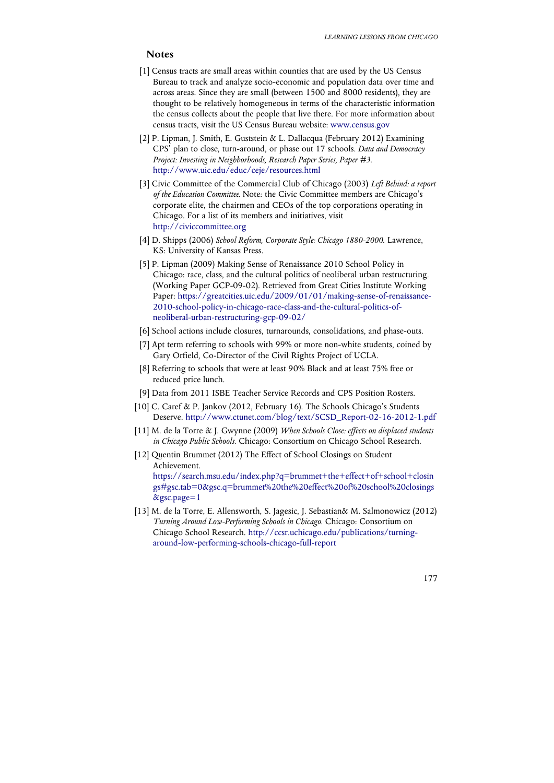# **Notes**

- [1] Census tracts are small areas within counties that are used by the US Census Bureau to track and analyze socio-economic and population data over time and across areas. Since they are small (between 1500 and 8000 residents), they are thought to be relatively homogeneous in terms of the characteristic information the census collects about the people that live there. For more information about census tracts, visit the US Census Bureau website: www.census.gov
- [2] P. Lipman, J. Smith, E. Guststein & L. Dallacqua (February 2012) Examining CPS' plan to close, turn-around, or phase out 17 schools. *Data and Democracy Project: Investing in Neighborhoods, Research Paper Series, Paper #3*. http://www.uic.edu/educ/ceje/resources.html
- [3] Civic Committee of the Commercial Club of Chicago (2003) *Left Behind: a report of the Education Committee.* Note: the Civic Committee members are Chicago's corporate elite, the chairmen and CEOs of the top corporations operating in Chicago. For a list of its members and initiatives, visit http://civiccommittee.org
- [4] D. Shipps (2006) *School Reform, Corporate Style: Chicago 1880-2000*. Lawrence, KS: University of Kansas Press.
- [5] P. Lipman (2009) Making Sense of Renaissance 2010 School Policy in Chicago: race, class, and the cultural politics of neoliberal urban restructuring*.* (Working Paper GCP-09-02). Retrieved from Great Cities Institute Working Paper: https://greatcities.uic.edu/2009/01/01/making-sense-of-renaissance-2010-school-policy-in-chicago-race-class-and-the-cultural-politics-ofneoliberal-urban-restructuring-gcp-09-02/
- [6] School actions include closures, turnarounds, consolidations, and phase-outs.
- [7] Apt term referring to schools with 99% or more non-white students, coined by Gary Orfield, Co-Director of the Civil Rights Project of UCLA.
- [8] Referring to schools that were at least 90% Black and at least 75% free or reduced price lunch.
- [9] Data from 2011 ISBE Teacher Service Records and CPS Position Rosters.
- [10] C. Caref & P. Jankov (2012, February 16). The Schools Chicago's Students Deserve. http://www.ctunet.com/blog/text/SCSD\_Report-02-16-2012-1.pdf
- [11] M. de la Torre & J. Gwynne (2009) *When Schools Close: effects on displaced students in Chicago Public Schools.* Chicago: Consortium on Chicago School Research.
- [12] Quentin Brummet (2012) The Effect of School Closings on Student Achievement. https://search.msu.edu/index.php?q=brummet+the+effect+of+school+closin gs#gsc.tab=0&gsc.q=brummet%20the%20effect%20of%20school%20closings &gsc.page=1
- [13] M. de la Torre, E. Allensworth, S. Jagesic, J. Sebastian& M. Salmonowicz (2012) *Turning Around Low-Performing Schools in Chicago.* Chicago: Consortium on Chicago School Research. http://ccsr.uchicago.edu/publications/turningaround-low-performing-schools-chicago-full-report